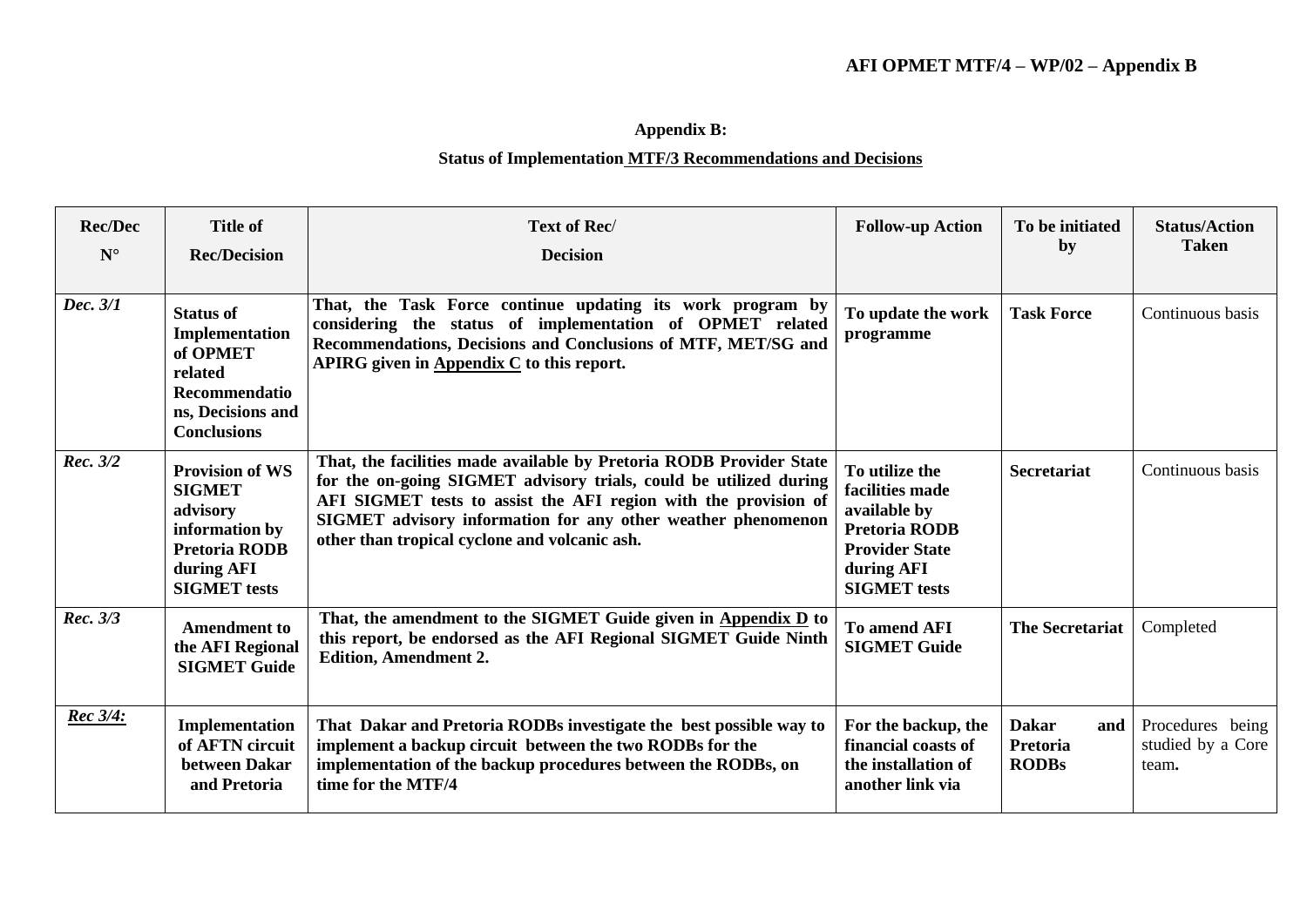## **Appendix B:**

## **Status of Implementation MTF/3 Recommendations and Decisions**

| <b>Rec/Dec</b><br>$N^{\circ}$ | <b>Title of</b><br><b>Rec/Decision</b>                                                                                             | Text of Rec/<br><b>Decision</b>                                                                                                                                                                                                                                                                                              | <b>Follow-up Action</b>                                                                                                                 | To be initiated<br>by                                  | <b>Status/Action</b><br><b>Taken</b>           |
|-------------------------------|------------------------------------------------------------------------------------------------------------------------------------|------------------------------------------------------------------------------------------------------------------------------------------------------------------------------------------------------------------------------------------------------------------------------------------------------------------------------|-----------------------------------------------------------------------------------------------------------------------------------------|--------------------------------------------------------|------------------------------------------------|
| Dec. 3/1                      | <b>Status of</b><br>Implementation<br>of OPMET<br>related<br>Recommendatio<br>ns, Decisions and<br><b>Conclusions</b>              | That, the Task Force continue updating its work program by<br>considering the status of implementation of OPMET related<br>Recommendations, Decisions and Conclusions of MTF, MET/SG and<br>APIRG given in Appendix C to this report.                                                                                        | To update the work<br>programme                                                                                                         | <b>Task Force</b>                                      | Continuous basis                               |
| Rec. 3/2                      | <b>Provision of WS</b><br><b>SIGMET</b><br>advisory<br>information by<br><b>Pretoria RODB</b><br>during AFI<br><b>SIGMET</b> tests | That, the facilities made available by Pretoria RODB Provider State<br>for the on-going SIGMET advisory trials, could be utilized during<br>AFI SIGMET tests to assist the AFI region with the provision of<br>SIGMET advisory information for any other weather phenomenon<br>other than tropical cyclone and volcanic ash. | To utilize the<br>facilities made<br>available by<br><b>Pretoria RODB</b><br><b>Provider State</b><br>during AFI<br><b>SIGMET</b> tests | <b>Secretariat</b>                                     | Continuous basis                               |
| Rec. 3/3                      | <b>Amendment to</b><br>the AFI Regional<br><b>SIGMET Guide</b>                                                                     | That, the amendment to the SIGMET Guide given in Appendix D to<br>this report, be endorsed as the AFI Regional SIGMET Guide Ninth<br><b>Edition, Amendment 2.</b>                                                                                                                                                            | To amend AFI<br><b>SIGMET Guide</b>                                                                                                     | <b>The Secretariat</b>                                 | Completed                                      |
| <b>Rec</b> 3/4:               | Implementation<br>of AFTN circuit<br>between Dakar<br>and Pretoria                                                                 | That Dakar and Pretoria RODBs investigate the best possible way to<br>implement a backup circuit between the two RODBs for the<br>implementation of the backup procedures between the RODBs, on<br>time for the MTF/4                                                                                                        | For the backup, the<br>financial coasts of<br>the installation of<br>another link via                                                   | <b>Dakar</b><br>and<br><b>Pretoria</b><br><b>RODBs</b> | Procedures being<br>studied by a Core<br>team. |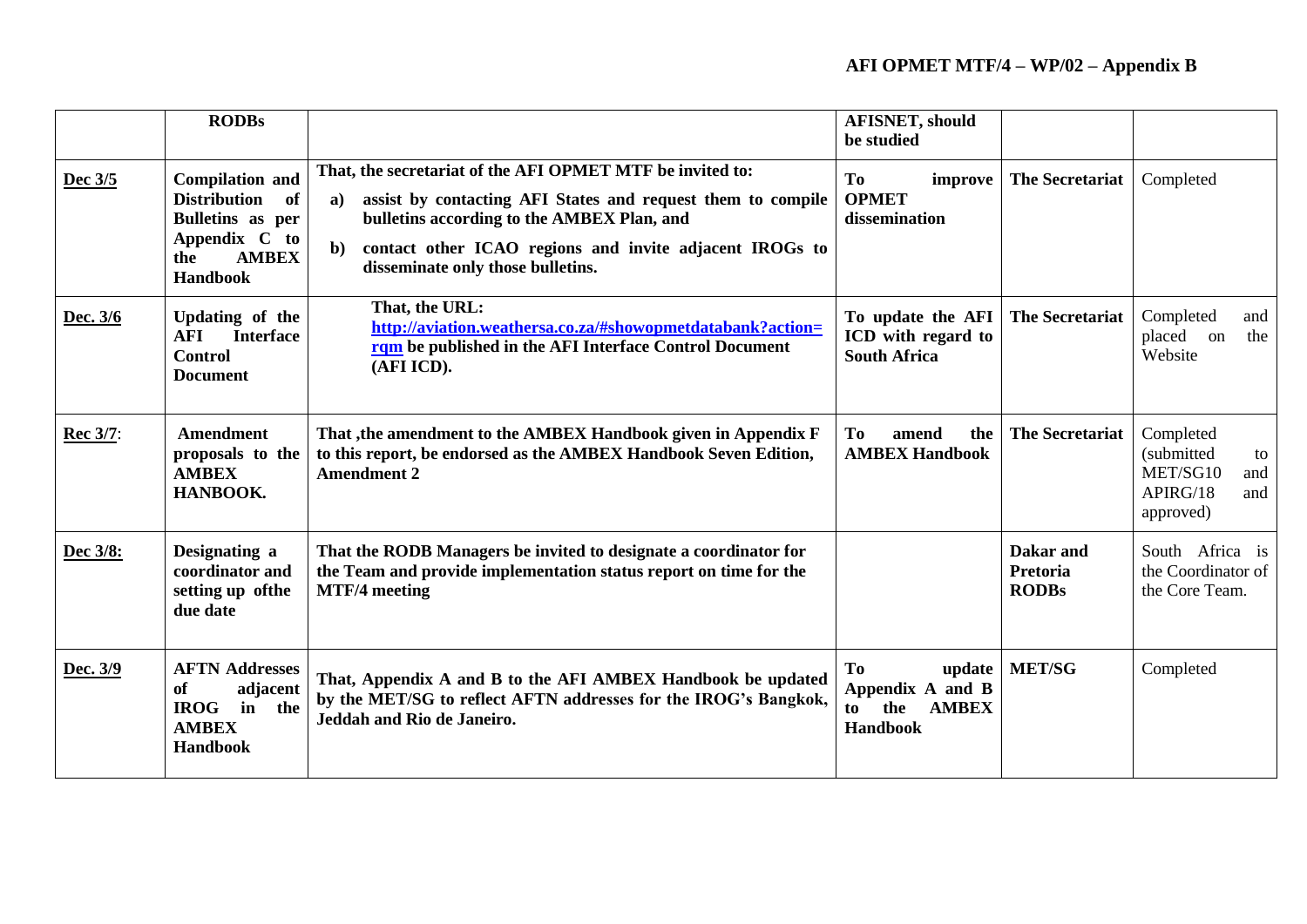## **AFI OPMET MTF/4 – WP/02 – Appendix B**

|          | <b>RODBs</b>                                                                                                                |                                                                                                                                                                                                                                                                                              | <b>AFISNET, should</b><br>be studied                                             |                                       |                                                                                  |
|----------|-----------------------------------------------------------------------------------------------------------------------------|----------------------------------------------------------------------------------------------------------------------------------------------------------------------------------------------------------------------------------------------------------------------------------------------|----------------------------------------------------------------------------------|---------------------------------------|----------------------------------------------------------------------------------|
| Dec 3/5  | <b>Compilation and</b><br><b>Distribution</b><br>of<br>Bulletins as per<br>Appendix C to<br><b>AMBEX</b><br>the<br>Handbook | That, the secretariat of the AFI OPMET MTF be invited to:<br>assist by contacting AFI States and request them to compile<br>a)<br>bulletins according to the AMBEX Plan, and<br>contact other ICAO regions and invite adjacent IROGs to<br>$\mathbf{b}$<br>disseminate only those bulletins. | <b>To</b><br>improve<br><b>OPMET</b><br>dissemination                            | The Secretariat                       | Completed                                                                        |
| Dec. 3/6 | Updating of the<br><b>AFI</b><br><b>Interface</b><br><b>Control</b><br><b>Document</b>                                      | That, the URL:<br>http://aviation.weathersa.co.za/#showopmetdatabank?action=<br>rqm be published in the AFI Interface Control Document<br>(AFI ICD).                                                                                                                                         | To update the AFI<br>ICD with regard to<br><b>South Africa</b>                   | <b>The Secretariat</b>                | Completed<br>and<br>placed on<br>the<br>Website                                  |
| Rec 3/7: | <b>Amendment</b><br>proposals to the<br><b>AMBEX</b><br>HANBOOK.                                                            | That , the amendment to the AMBEX Handbook given in Appendix F<br>to this report, be endorsed as the AMBEX Handbook Seven Edition,<br><b>Amendment 2</b>                                                                                                                                     | To<br>amend<br>the<br><b>AMBEX Handbook</b>                                      | <b>The Secretariat</b>                | Completed<br>(submitted<br>to<br>MET/SG10<br>and<br>APIRG/18<br>and<br>approved) |
| Dec 3/8: | Designating a<br>coordinator and<br>setting up of the<br>due date                                                           | That the RODB Managers be invited to designate a coordinator for<br>the Team and provide implementation status report on time for the<br><b>MTF/4</b> meeting                                                                                                                                |                                                                                  | Dakar and<br>Pretoria<br><b>RODBs</b> | South Africa is<br>the Coordinator of<br>the Core Team.                          |
| Dec. 3/9 | <b>AFTN Addresses</b><br>of<br>adjacent<br><b>IROG</b><br>$\mathbf{in}$<br>the<br><b>AMBEX</b><br><b>Handbook</b>           | That, Appendix A and B to the AFI AMBEX Handbook be updated<br>by the MET/SG to reflect AFTN addresses for the IROG's Bangkok,<br>Jeddah and Rio de Janeiro.                                                                                                                                 | To<br>update<br>Appendix A and B<br>the<br><b>AMBEX</b><br>to<br><b>Handbook</b> | <b>MET/SG</b>                         | Completed                                                                        |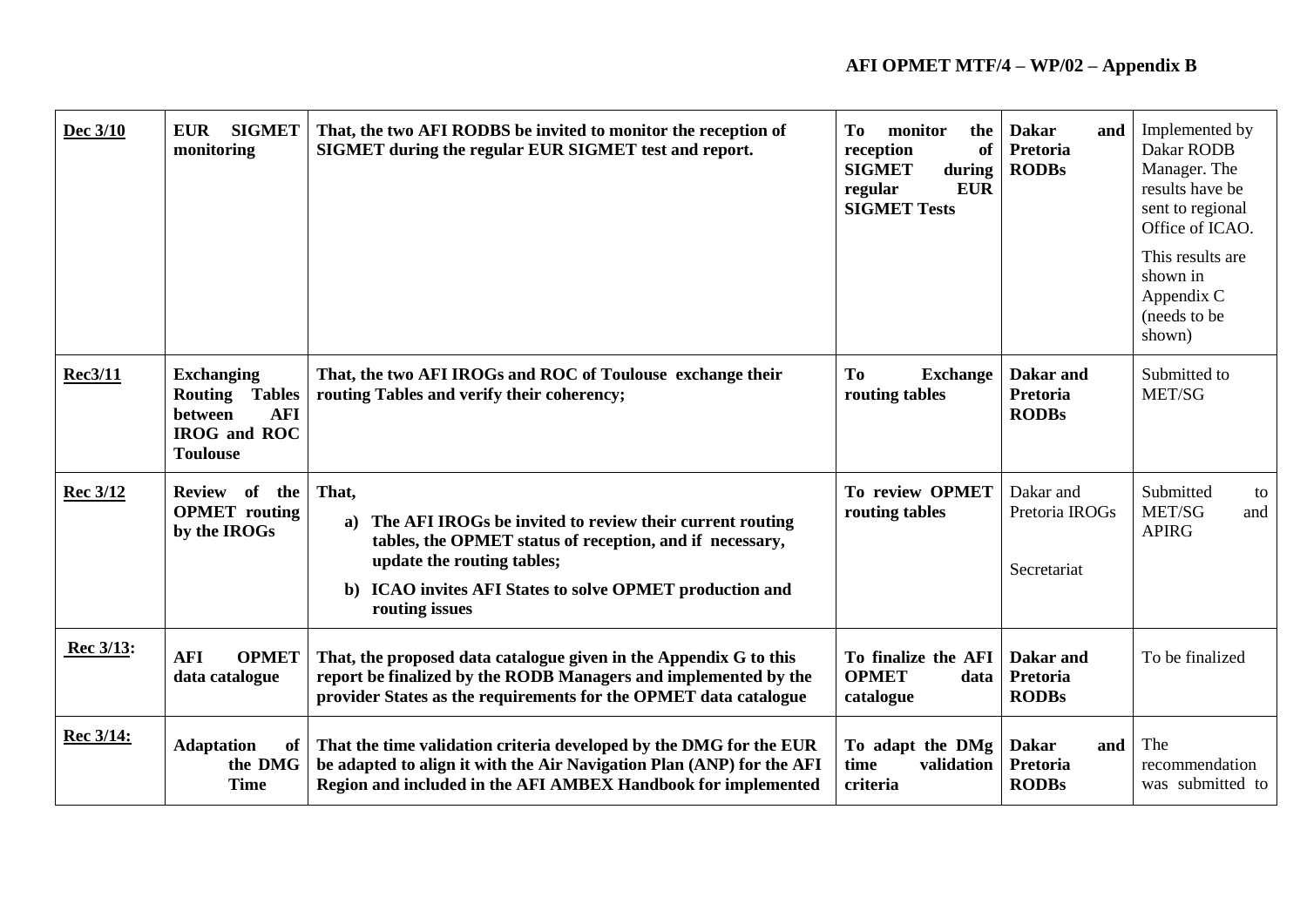| Dec 3/10        | <b>SIGMET</b><br><b>EUR</b><br>monitoring                                                                     | That, the two AFI RODBS be invited to monitor the reception of<br>SIGMET during the regular EUR SIGMET test and report.                                                                                                                         | To<br>monitor<br>the<br>reception<br><b>of</b><br><b>SIGMET</b><br>during<br><b>EUR</b><br>regular<br><b>SIGMET Tests</b> | <b>Dakar</b><br>and<br>Pretoria<br><b>RODBs</b> | Implemented by<br>Dakar RODB<br>Manager. The<br>results have be<br>sent to regional<br>Office of ICAO.<br>This results are |
|-----------------|---------------------------------------------------------------------------------------------------------------|-------------------------------------------------------------------------------------------------------------------------------------------------------------------------------------------------------------------------------------------------|---------------------------------------------------------------------------------------------------------------------------|-------------------------------------------------|----------------------------------------------------------------------------------------------------------------------------|
|                 |                                                                                                               |                                                                                                                                                                                                                                                 |                                                                                                                           |                                                 | shown in<br>Appendix C<br>(needs to be<br>shown)                                                                           |
| <b>Rec3/11</b>  | <b>Exchanging</b><br><b>Routing Tables</b><br><b>AFI</b><br>between<br><b>IROG</b> and ROC<br><b>Toulouse</b> | That, the two AFI IROGs and ROC of Toulouse exchange their<br>routing Tables and verify their coherency;                                                                                                                                        | To<br><b>Exchange</b><br>routing tables                                                                                   | Dakar and<br><b>Pretoria</b><br><b>RODBs</b>    | Submitted to<br>MET/SG                                                                                                     |
| <b>Rec 3/12</b> | Review of the<br><b>OPMET</b> routing<br>by the IROGs                                                         | That,<br>The AFI IROGs be invited to review their current routing<br>a)<br>tables, the OPMET status of reception, and if necessary,<br>update the routing tables;<br>b) ICAO invites AFI States to solve OPMET production and<br>routing issues | To review OPMET<br>routing tables                                                                                         | Dakar and<br>Pretoria IROGs<br>Secretariat      | Submitted<br>to<br>MET/SG<br>and<br><b>APIRG</b>                                                                           |
| Rec 3/13:       | <b>AFI</b><br><b>OPMET</b><br>data catalogue                                                                  | That, the proposed data catalogue given in the Appendix G to this<br>report be finalized by the RODB Managers and implemented by the<br>provider States as the requirements for the OPMET data catalogue                                        | To finalize the AFI<br><b>OPMET</b><br>data<br>catalogue                                                                  | Dakar and<br><b>Pretoria</b><br><b>RODBs</b>    | To be finalized                                                                                                            |
| Rec 3/14:       | <b>Adaptation</b><br>of<br>the DMG<br><b>Time</b>                                                             | That the time validation criteria developed by the DMG for the EUR<br>be adapted to align it with the Air Navigation Plan (ANP) for the AFI<br>Region and included in the AFI AMBEX Handbook for implemented                                    | To adapt the DMg<br>time<br>validation<br>criteria                                                                        | <b>Dakar</b><br>and<br>Pretoria<br><b>RODBs</b> | The<br>recommendation<br>was submitted to                                                                                  |